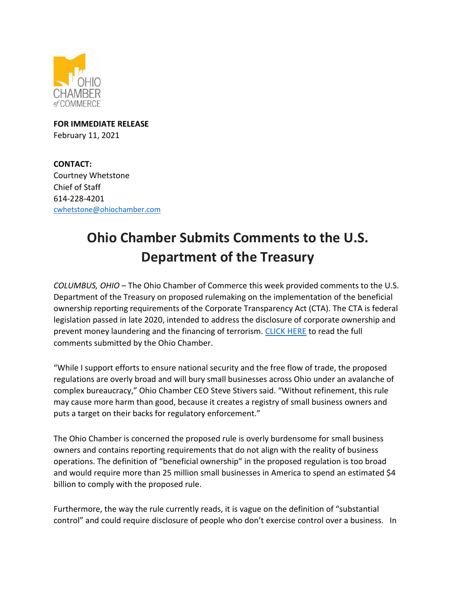

**FOR IMMEDIATE RELEASE** February 11, 2021

**CONTACT:**  Courtney Whetstone Chief of Staff 614-228-4201 [cwhetstone@ohiochamber.com](mailto:cwhetstone@ohiochamber.com)

## **Ohio Chamber Submits Comments to the U.S. Department of the Treasury**

*COLUMBUS, OHIO* – The Ohio Chamber of Commerce this week provided comments to the U.S. Department of the Treasury on proposed rulemaking on the implementation of the beneficial ownership reporting requirements of the Corporate Transparency Act (CTA). The CTA is federal legislation passed in late 2020, intended to address the disclosure of corporate ownership and prevent money laundering and the financing of terrorism. [CLICK HERE](https://ohiochamber.com/wp-content/uploads/2022/02/2.11.22-Comments-on-Beneficial-Ownership-Rule.pdf) to read the full comments submitted by the Ohio Chamber.

"While I support efforts to ensure national security and the free flow of trade, the proposed regulations are overly broad and will bury small businesses across Ohio under an avalanche of complex bureaucracy," Ohio Chamber CEO Steve Stivers said. "Without refinement, this rule may cause more harm than good, because it creates a registry of small business owners and puts a target on their backs for regulatory enforcement."

The Ohio Chamber is concerned the proposed rule is overly burdensome for small business owners and contains reporting requirements that do not align with the reality of business operations. The definition of "beneficial ownership" in the proposed regulation is too broad and would require more than 25 million small businesses in America to spend an estimated \$4 billion to comply with the proposed rule.

Furthermore, the way the rule currently reads, it is vague on the definition of "substantial control" and could require disclosure of people who don't exercise control over a business. In